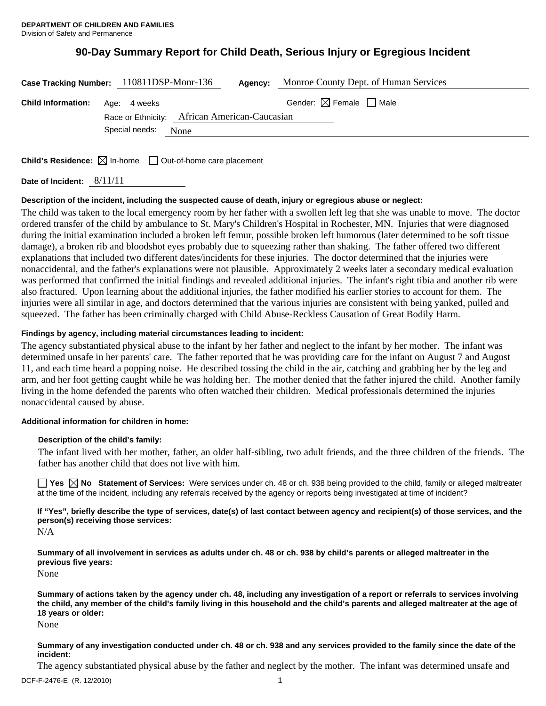# **90-Day Summary Report for Child Death, Serious Injury or Egregious Incident**

|                                        | Case Tracking Number: 110811DSP-Monr-136                                | Agency: | Monroe County Dept. of Human Services  |  |
|----------------------------------------|-------------------------------------------------------------------------|---------|----------------------------------------|--|
| <b>Child Information:</b> Age: 4 weeks |                                                                         |         | Gender: $\boxtimes$ Female $\Box$ Male |  |
|                                        | Race or Ethnicity: African American-Caucasian<br>Special needs:<br>None |         |                                        |  |
|                                        |                                                                         |         |                                        |  |

**Child's Residence:**  $\boxtimes$  In-home  $\Box$  Out-of-home care placement

**Date of Incident:** 8/11/11

### **Description of the incident, including the suspected cause of death, injury or egregious abuse or neglect:**

The child was taken to the local emergency room by her father with a swollen left leg that she was unable to move. The doctor ordered transfer of the child by ambulance to St. Mary's Children's Hospital in Rochester, MN. Injuries that were diagnosed during the initial examination included a broken left femur, possible broken left humorous (later determined to be soft tissue damage), a broken rib and bloodshot eyes probably due to squeezing rather than shaking. The father offered two different explanations that included two different dates/incidents for these injuries. The doctor determined that the injuries were nonaccidental, and the father's explanations were not plausible. Approximately 2 weeks later a secondary medical evaluation was performed that confirmed the initial findings and revealed additional injuries. The infant's right tibia and another rib were also fractured. Upon learning about the additional injuries, the father modified his earlier stories to account for them. The injuries were all similar in age, and doctors determined that the various injuries are consistent with being yanked, pulled and squeezed. The father has been criminally charged with Child Abuse-Reckless Causation of Great Bodily Harm.

### **Findings by agency, including material circumstances leading to incident:**

The agency substantiated physical abuse to the infant by her father and neglect to the infant by her mother. The infant was determined unsafe in her parents' care. The father reported that he was providing care for the infant on August 7 and August 11, and each time heard a popping noise. He described tossing the child in the air, catching and grabbing her by the leg and arm, and her foot getting caught while he was holding her. The mother denied that the father injured the child. Another family living in the home defended the parents who often watched their children. Medical professionals determined the injuries nonaccidental caused by abuse.

#### **Additional information for children in home:**

#### **Description of the child's family:**

The infant lived with her mother, father, an older half-sibling, two adult friends, and the three children of the friends. The father has another child that does not live with him.

**Yes No Statement of Services:** Were services under ch. 48 or ch. 938 being provided to the child, family or alleged maltreater at the time of the incident, including any referrals received by the agency or reports being investigated at time of incident?

**If "Yes", briefly describe the type of services, date(s) of last contact between agency and recipient(s) of those services, and the person(s) receiving those services:** 

N/A

**Summary of all involvement in services as adults under ch. 48 or ch. 938 by child's parents or alleged maltreater in the previous five years:** 

None

**Summary of actions taken by the agency under ch. 48, including any investigation of a report or referrals to services involving the child, any member of the child's family living in this household and the child's parents and alleged maltreater at the age of 18 years or older:** 

None

**Summary of any investigation conducted under ch. 48 or ch. 938 and any services provided to the family since the date of the incident:** 

The agency substantiated physical abuse by the father and neglect by the mother. The infant was determined unsafe and